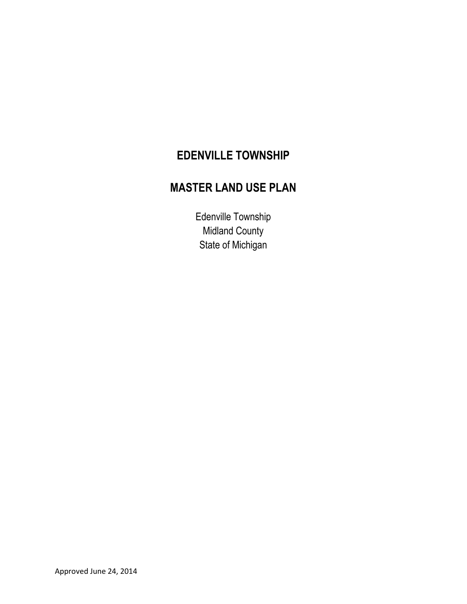# **EDENVILLE TOWNSHIP**

# **MASTER LAND USE PLAN**

Edenville Township Midland County State of Michigan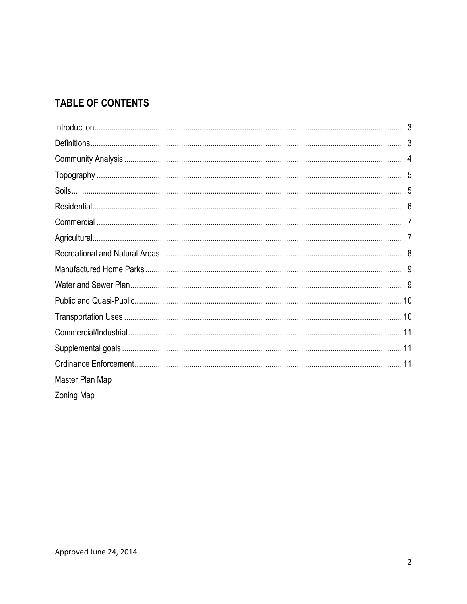# **TABLE OF CONTENTS**

| Master Plan Map   |  |
|-------------------|--|
| <b>Zoning Map</b> |  |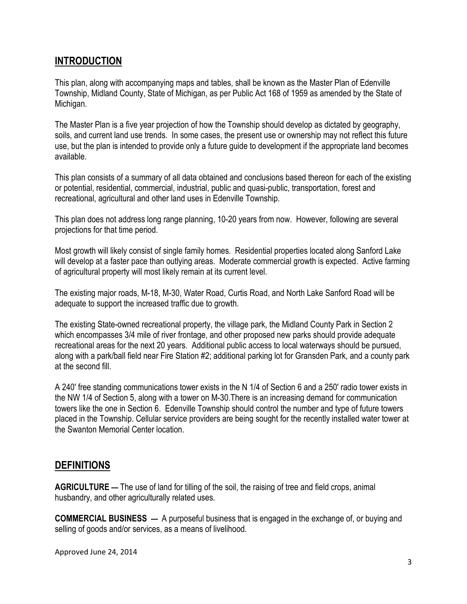#### **INTRODUCTION**

This plan, along with accompanying maps and tables, shall be known as the Master Plan of Edenville Township, Midland County, State of Michigan, as per Public Act 168 of 1959 as amended by the State of Michigan.

The Master Plan is a five year projection of how the Township should develop as dictated by geography, soils, and current land use trends. In some cases, the present use or ownership may not reflect this future use, but the plan is intended to provide only a future guide to development if the appropriate land becomes available.

This plan consists of a summary of all data obtained and conclusions based thereon for each of the existing or potential, residential, commercial, industrial, public and quasi-public, transportation, forest and recreational, agricultural and other land uses in Edenville Township.

This plan does not address long range planning, 10-20 years from now. However, following are several projections for that time period.

Most growth will likely consist of single family homes. Residential properties located along Sanford Lake will develop at a faster pace than outlying areas. Moderate commercial growth is expected. Active farming of agricultural property will most likely remain at its current level.

The existing major roads, M-18, M-30, Water Road, Curtis Road, and North Lake Sanford Road will be adequate to support the increased traffic due to growth.

The existing State-owned recreational property, the village park, the Midland County Park in Section 2 which encompasses 3/4 mile of river frontage, and other proposed new parks should provide adequate recreational areas for the next 20 years. Additional public access to local waterways should be pursued, along with a park/ball field near Fire Station #2; additional parking lot for Gransden Park, and a county park at the second fill.

A 240' free standing communications tower exists in the N 1/4 of Section 6 and a 250' radio tower exists in the NW 1/4 of Section 5, along with a tower on M-30.There is an increasing demand for communication towers like the one in Section 6. Edenville Township should control the number and type of future towers placed in the Township. Cellular service providers are being sought for the recently installed water tower at the Swanton Memorial Center location.

#### **DEFINITIONS**

**AGRICULTURE —** The use of land for tilling of the soil, the raising of tree and field crops, animal husbandry, and other agriculturally related uses.

**COMMERCIAL BUSINESS —** A purposeful business that is engaged in the exchange of, or buying and selling of goods and/or services, as a means of livelihood.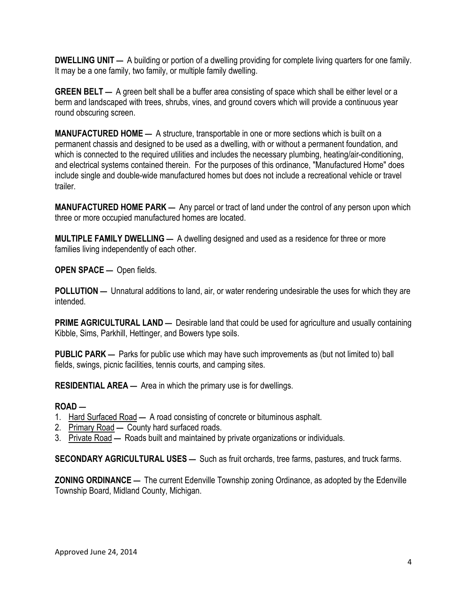**DWELLING UNIT —** A building or portion of a dwelling providing for complete living quarters for one family. It may be a one family, two family, or multiple family dwelling.

**GREEN BELT** — A green belt shall be a buffer area consisting of space which shall be either level or a berm and landscaped with trees, shrubs, vines, and ground covers which will provide a continuous year round obscuring screen.

**MANUFACTURED HOME —** A structure, transportable in one or more sections which is built on a permanent chassis and designed to be used as a dwelling, with or without a permanent foundation, and which is connected to the required utilities and includes the necessary plumbing, heating/air-conditioning, and electrical systems contained therein. For the purposes of this ordinance, "Manufactured Home" does include single and double-wide manufactured homes but does not include a recreational vehicle or travel trailer.

**MANUFACTURED HOME PARK —** Any parcel or tract of land under the control of any person upon which three or more occupied manufactured homes are located.

**MULTIPLE FAMILY DWELLING —** A dwelling designed and used as a residence for three or more families living independently of each other.

**OPEN SPACE —** Open fields.

**POLLUTION —** Unnatural additions to land, air, or water rendering undesirable the uses for which they are intended.

**PRIME AGRICULTURAL LAND — Desirable land that could be used for agriculture and usually containing** Kibble, Sims, Parkhill, Hettinger, and Bowers type soils.

**PUBLIC PARK** — Parks for public use which may have such improvements as (but not limited to) ball fields, swings, picnic facilities, tennis courts, and camping sites.

**RESIDENTIAL AREA —** Area in which the primary use is for dwellings.

#### **ROAD —**

- 1. Hard Surfaced Road **—** A road consisting of concrete or bituminous asphalt.
- 2. Primary Road **—** County hard surfaced roads.
- 3. Private Road **—** Roads built and maintained by private organizations or individuals.

**SECONDARY AGRICULTURAL USES —** Such as fruit orchards, tree farms, pastures, and truck farms.

**ZONING ORDINANCE —** The current Edenville Township zoning Ordinance, as adopted by the Edenville Township Board, Midland County, Michigan.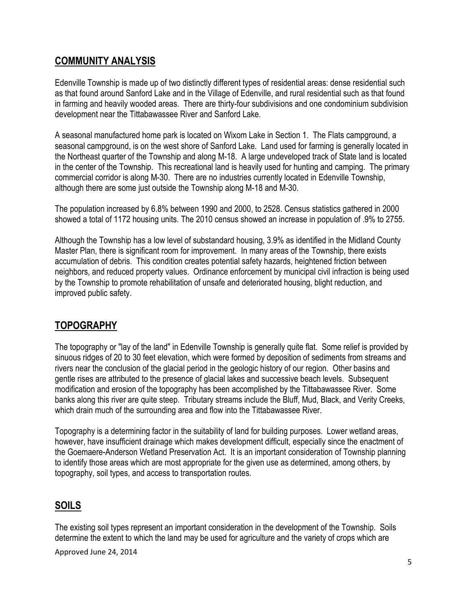# **COMMUNITY ANALYSIS**

Edenville Township is made up of two distinctly different types of residential areas: dense residential such as that found around Sanford Lake and in the Village of Edenville, and rural residential such as that found in farming and heavily wooded areas. There are thirty-four subdivisions and one condominium subdivision development near the Tittabawassee River and Sanford Lake.

A seasonal manufactured home park is located on Wixom Lake in Section 1. The Flats campground, a seasonal campground, is on the west shore of Sanford Lake. Land used for farming is generally located in the Northeast quarter of the Township and along M-18. A large undeveloped track of State land is located in the center of the Township. This recreational land is heavily used for hunting and camping. The primary commercial corridor is along M-30. There are no industries currently located in Edenville Township, although there are some just outside the Township along M-18 and M-30.

The population increased by 6.8% between 1990 and 2000, to 2528. Census statistics gathered in 2000 showed a total of 1172 housing units. The 2010 census showed an increase in population of .9% to 2755.

Although the Township has a low level of substandard housing, 3.9% as identified in the Midland County Master Plan, there is significant room for improvement. In many areas of the Township, there exists accumulation of debris. This condition creates potential safety hazards, heightened friction between neighbors, and reduced property values. Ordinance enforcement by municipal civil infraction is being used by the Township to promote rehabilitation of unsafe and deteriorated housing, blight reduction, and improved public safety.

# **TOPOGRAPHY**

The topography or "lay of the land" in Edenville Township is generally quite flat. Some relief is provided by sinuous ridges of 20 to 30 feet elevation, which were formed by deposition of sediments from streams and rivers near the conclusion of the glacial period in the geologic history of our region. Other basins and gentle rises are attributed to the presence of glacial lakes and successive beach levels. Subsequent modification and erosion of the topography has been accomplished by the Tittabawassee River. Some banks along this river are quite steep. Tributary streams include the Bluff, Mud, Black, and Verity Creeks, which drain much of the surrounding area and flow into the Tittabawassee River.

Topography is a determining factor in the suitability of land for building purposes. Lower wetland areas, however, have insufficient drainage which makes development difficult, especially since the enactment of the Goemaere-Anderson Wetland Preservation Act. It is an important consideration of Township planning to identify those areas which are most appropriate for the given use as determined, among others, by topography, soil types, and access to transportation routes.

# **SOILS**

The existing soil types represent an important consideration in the development of the Township. Soils determine the extent to which the land may be used for agriculture and the variety of crops which are

Approved June 24, 2014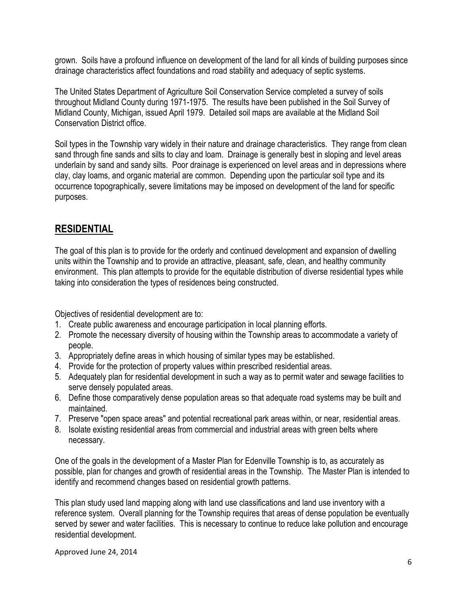grown. Soils have a profound influence on development of the land for all kinds of building purposes since drainage characteristics affect foundations and road stability and adequacy of septic systems.

The United States Department of Agriculture Soil Conservation Service completed a survey of soils throughout Midland County during 1971-1975. The results have been published in the Soil Survey of Midland County, Michigan, issued April 1979. Detailed soil maps are available at the Midland Soil Conservation District office.

Soil types in the Township vary widely in their nature and drainage characteristics. They range from clean sand through fine sands and silts to clay and loam. Drainage is generally best in sloping and level areas underlain by sand and sandy silts. Poor drainage is experienced on level areas and in depressions where clay, clay loams, and organic material are common. Depending upon the particular soil type and its occurrence topographically, severe limitations may be imposed on development of the land for specific purposes.

# **RESIDENTIAL**

The goal of this plan is to provide for the orderly and continued development and expansion of dwelling units within the Township and to provide an attractive, pleasant, safe, clean, and healthy community environment. This plan attempts to provide for the equitable distribution of diverse residential types while taking into consideration the types of residences being constructed.

Objectives of residential development are to:

- 1. Create public awareness and encourage participation in local planning efforts.
- 2. Promote the necessary diversity of housing within the Township areas to accommodate a variety of people.
- 3. Appropriately define areas in which housing of similar types may be established.
- 4. Provide for the protection of property values within prescribed residential areas.
- 5. Adequately plan for residential development in such a way as to permit water and sewage facilities to serve densely populated areas.
- 6. Define those comparatively dense population areas so that adequate road systems may be built and maintained.
- 7. Preserve "open space areas" and potential recreational park areas within, or near, residential areas.
- 8. Isolate existing residential areas from commercial and industrial areas with green belts where necessary.

One of the goals in the development of a Master Plan for Edenville Township is to, as accurately as possible, plan for changes and growth of residential areas in the Township. The Master Plan is intended to identify and recommend changes based on residential growth patterns.

This plan study used land mapping along with land use classifications and land use inventory with a reference system. Overall planning for the Township requires that areas of dense population be eventually served by sewer and water facilities. This is necessary to continue to reduce lake pollution and encourage residential development.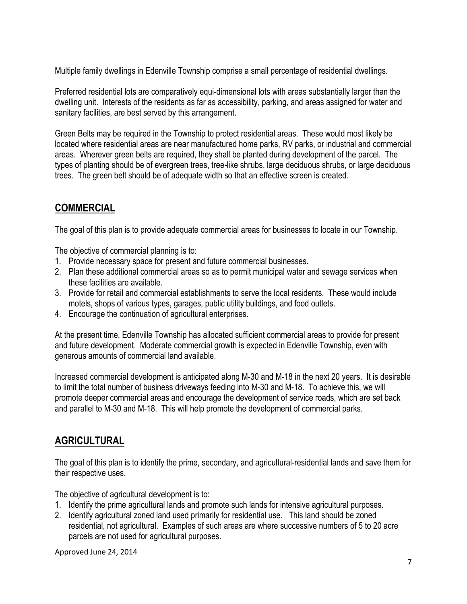Multiple family dwellings in Edenville Township comprise a small percentage of residential dwellings.

Preferred residential lots are comparatively equi-dimensional lots with areas substantially larger than the dwelling unit. Interests of the residents as far as accessibility, parking, and areas assigned for water and sanitary facilities, are best served by this arrangement.

Green Belts may be required in the Township to protect residential areas. These would most likely be located where residential areas are near manufactured home parks, RV parks, or industrial and commercial areas. Wherever green belts are required, they shall be planted during development of the parcel. The types of planting should be of evergreen trees, tree-like shrubs, large deciduous shrubs, or large deciduous trees. The green belt should be of adequate width so that an effective screen is created.

# **COMMERCIAL**

The goal of this plan is to provide adequate commercial areas for businesses to locate in our Township.

The objective of commercial planning is to:

- 1. Provide necessary space for present and future commercial businesses.
- 2. Plan these additional commercial areas so as to permit municipal water and sewage services when these facilities are available.
- 3. Provide for retail and commercial establishments to serve the local residents. These would include motels, shops of various types, garages, public utility buildings, and food outlets.
- 4. Encourage the continuation of agricultural enterprises.

At the present time, Edenville Township has allocated sufficient commercial areas to provide for present and future development. Moderate commercial growth is expected in Edenville Township, even with generous amounts of commercial land available.

Increased commercial development is anticipated along M-30 and M-18 in the next 20 years. It is desirable to limit the total number of business driveways feeding into M-30 and M-18. To achieve this, we will promote deeper commercial areas and encourage the development of service roads, which are set back and parallel to M-30 and M-18. This will help promote the development of commercial parks.

# **AGRICULTURAL**

The goal of this plan is to identify the prime, secondary, and agricultural-residential lands and save them for their respective uses.

The objective of agricultural development is to:

- 1. Identify the prime agricultural lands and promote such lands for intensive agricultural purposes.
- 2. Identify agricultural zoned land used primarily for residential use. This land should be zoned residential, not agricultural. Examples of such areas are where successive numbers of 5 to 20 acre parcels are not used for agricultural purposes.

Approved June 24, 2014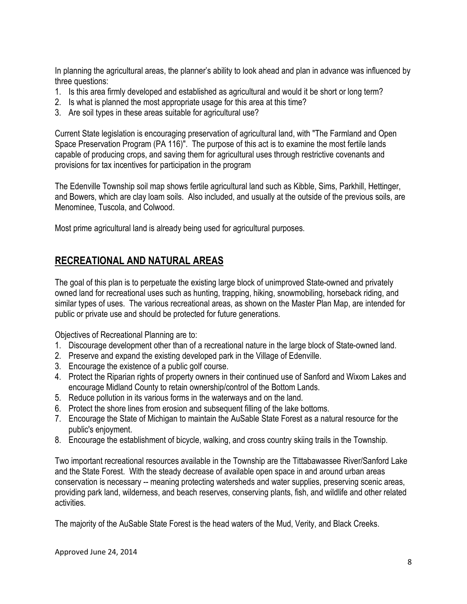In planning the agricultural areas, the planner's ability to look ahead and plan in advance was influenced by three questions:

- 1. Is this area firmly developed and established as agricultural and would it be short or long term?
- 2. Is what is planned the most appropriate usage for this area at this time?
- 3. Are soil types in these areas suitable for agricultural use?

Current State legislation is encouraging preservation of agricultural land, with "The Farmland and Open Space Preservation Program (PA 116)". The purpose of this act is to examine the most fertile lands capable of producing crops, and saving them for agricultural uses through restrictive covenants and provisions for tax incentives for participation in the program

The Edenville Township soil map shows fertile agricultural land such as Kibble, Sims, Parkhill, Hettinger, and Bowers, which are clay loam soils. Also included, and usually at the outside of the previous soils, are Menominee, Tuscola, and Colwood.

Most prime agricultural land is already being used for agricultural purposes.

# **RECREATIONAL AND NATURAL AREAS**

The goal of this plan is to perpetuate the existing large block of unimproved State-owned and privately owned land for recreational uses such as hunting, trapping, hiking, snowmobiling, horseback riding, and similar types of uses. The various recreational areas, as shown on the Master Plan Map, are intended for public or private use and should be protected for future generations.

Objectives of Recreational Planning are to:

- 1. Discourage development other than of a recreational nature in the large block of State-owned land.
- 2. Preserve and expand the existing developed park in the Village of Edenville.
- 3. Encourage the existence of a public golf course.
- 4. Protect the Riparian rights of property owners in their continued use of Sanford and Wixom Lakes and encourage Midland County to retain ownership/control of the Bottom Lands.
- 5. Reduce pollution in its various forms in the waterways and on the land.
- 6. Protect the shore lines from erosion and subsequent filling of the lake bottoms.
- 7. Encourage the State of Michigan to maintain the AuSable State Forest as a natural resource for the public's enjoyment.
- 8. Encourage the establishment of bicycle, walking, and cross country skiing trails in the Township.

Two important recreational resources available in the Township are the Tittabawassee River/Sanford Lake and the State Forest. With the steady decrease of available open space in and around urban areas conservation is necessary -- meaning protecting watersheds and water supplies, preserving scenic areas, providing park land, wilderness, and beach reserves, conserving plants, fish, and wildlife and other related activities.

The majority of the AuSable State Forest is the head waters of the Mud, Verity, and Black Creeks.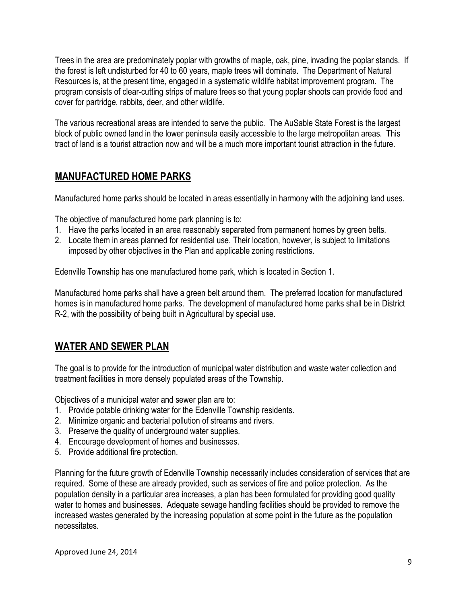Trees in the area are predominately poplar with growths of maple, oak, pine, invading the poplar stands. If the forest is left undisturbed for 40 to 60 years, maple trees will dominate. The Department of Natural Resources is, at the present time, engaged in a systematic wildlife habitat improvement program. The program consists of clear-cutting strips of mature trees so that young poplar shoots can provide food and cover for partridge, rabbits, deer, and other wildlife.

The various recreational areas are intended to serve the public. The AuSable State Forest is the largest block of public owned land in the lower peninsula easily accessible to the large metropolitan areas. This tract of land is a tourist attraction now and will be a much more important tourist attraction in the future.

# **MANUFACTURED HOME PARKS**

Manufactured home parks should be located in areas essentially in harmony with the adjoining land uses.

The objective of manufactured home park planning is to:

- 1. Have the parks located in an area reasonably separated from permanent homes by green belts.
- 2. Locate them in areas planned for residential use. Their location, however, is subject to limitations imposed by other objectives in the Plan and applicable zoning restrictions.

Edenville Township has one manufactured home park, which is located in Section 1.

Manufactured home parks shall have a green belt around them. The preferred location for manufactured homes is in manufactured home parks. The development of manufactured home parks shall be in District R-2, with the possibility of being built in Agricultural by special use.

#### **WATER AND SEWER PLAN**

The goal is to provide for the introduction of municipal water distribution and waste water collection and treatment facilities in more densely populated areas of the Township.

Objectives of a municipal water and sewer plan are to:

- 1. Provide potable drinking water for the Edenville Township residents.
- 2. Minimize organic and bacterial pollution of streams and rivers.
- 3. Preserve the quality of underground water supplies.
- 4. Encourage development of homes and businesses.
- 5. Provide additional fire protection.

Planning for the future growth of Edenville Township necessarily includes consideration of services that are required. Some of these are already provided, such as services of fire and police protection. As the population density in a particular area increases, a plan has been formulated for providing good quality water to homes and businesses. Adequate sewage handling facilities should be provided to remove the increased wastes generated by the increasing population at some point in the future as the population necessitates.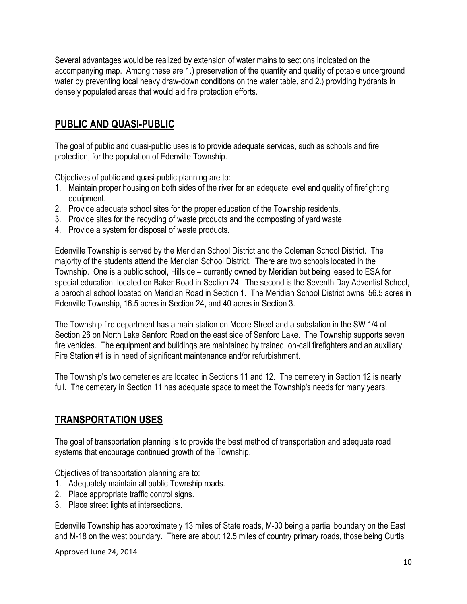Several advantages would be realized by extension of water mains to sections indicated on the accompanying map. Among these are 1.) preservation of the quantity and quality of potable underground water by preventing local heavy draw-down conditions on the water table, and 2.) providing hydrants in densely populated areas that would aid fire protection efforts.

# **PUBLIC AND QUASI-PUBLIC**

The goal of public and quasi-public uses is to provide adequate services, such as schools and fire protection, for the population of Edenville Township.

Objectives of public and quasi-public planning are to:

- 1. Maintain proper housing on both sides of the river for an adequate level and quality of firefighting equipment.
- 2. Provide adequate school sites for the proper education of the Township residents.
- 3. Provide sites for the recycling of waste products and the composting of yard waste.
- 4. Provide a system for disposal of waste products.

Edenville Township is served by the Meridian School District and the Coleman School District. The majority of the students attend the Meridian School District. There are two schools located in the Township. One is a public school, Hillside – currently owned by Meridian but being leased to ESA for special education, located on Baker Road in Section 24. The second is the Seventh Day Adventist School, a parochial school located on Meridian Road in Section 1. The Meridian School District owns 56.5 acres in Edenville Township, 16.5 acres in Section 24, and 40 acres in Section 3.

The Township fire department has a main station on Moore Street and a substation in the SW 1/4 of Section 26 on North Lake Sanford Road on the east side of Sanford Lake. The Township supports seven fire vehicles. The equipment and buildings are maintained by trained, on-call firefighters and an auxiliary. Fire Station #1 is in need of significant maintenance and/or refurbishment.

The Township's two cemeteries are located in Sections 11 and 12. The cemetery in Section 12 is nearly full. The cemetery in Section 11 has adequate space to meet the Township's needs for many years.

#### **TRANSPORTATION USES**

The goal of transportation planning is to provide the best method of transportation and adequate road systems that encourage continued growth of the Township.

Objectives of transportation planning are to:

- 1. Adequately maintain all public Township roads.
- 2. Place appropriate traffic control signs.
- 3. Place street lights at intersections.

Edenville Township has approximately 13 miles of State roads, M-30 being a partial boundary on the East and M-18 on the west boundary. There are about 12.5 miles of country primary roads, those being Curtis

Approved June 24, 2014